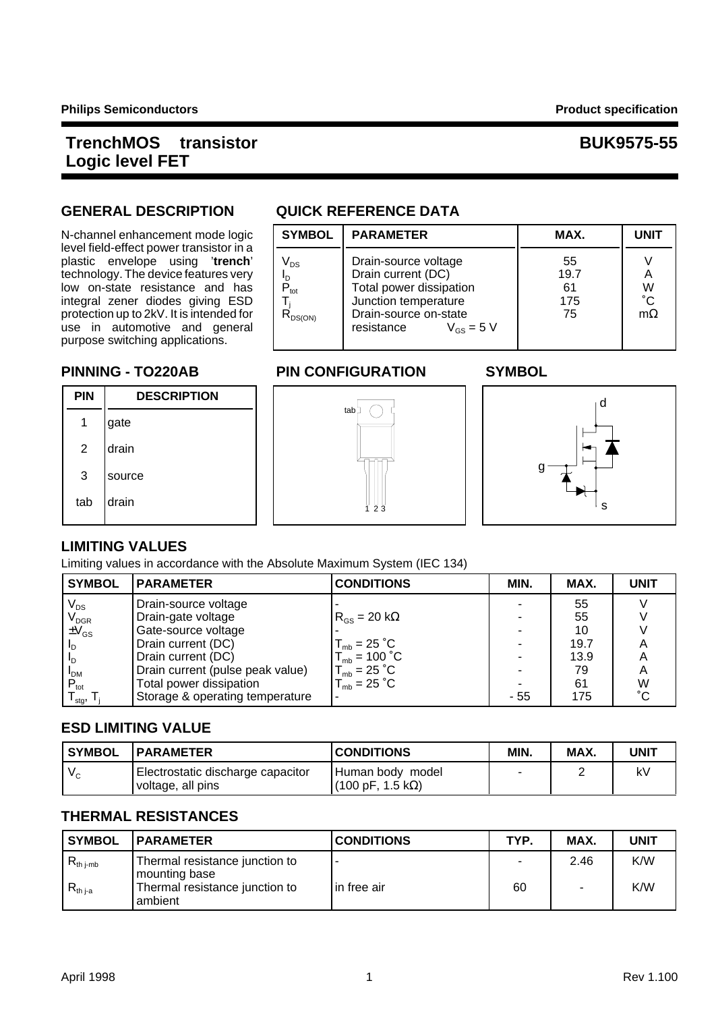**N-channel enhancement mode logic** level field-effect power transistor in a plastic envelope using 'trench' technology. The device features very low on-state resistance and has integral zener diodes giving ESD protection up to 2kV. It is intended for use in automotive and general purpose switching applications.

## **GENERAL DESCRIPTION QUICK REFERENCE DATA**

| <b>SYMBOL</b>                                                   | <b>PARAMETER</b>                                                                                                                                       | MAX.                          | <b>UNIT</b>                         |
|-----------------------------------------------------------------|--------------------------------------------------------------------------------------------------------------------------------------------------------|-------------------------------|-------------------------------------|
| V <sub>DS</sub><br>םי<br>$\mathbf{P}_{\rm tot}$<br>$R_{DS(ON)}$ | Drain-source voltage<br>Drain current (DC)<br>Total power dissipation<br>Junction temperature<br>Drain-source on-state<br>resistance<br>$V_{GS}$ = 5 V | 55<br>19.7<br>61<br>175<br>75 | А<br>W<br>$^{\circ}$ C<br>$m\Omega$ |

## **PINNING - TO220AB PIN CONFIGURATION SYMBOL**







### **LIMITING VALUES**

Limiting values in accordance with the Absolute Maximum System (IEC 134)

| <b>SYMBOL</b>                           | <b>PARAMETER</b>                 | <b>CONDITIONS</b>              | MIN. | MAX. | <b>UNIT</b> |
|-----------------------------------------|----------------------------------|--------------------------------|------|------|-------------|
| $\mathsf{V}_{\mathsf{DS}}$              | Drain-source voltage             |                                |      | 55   |             |
|                                         | Drain-gate voltage               | $R_{\rm{GS}}$ = 20 k $\Omega$  |      | 55   |             |
| $V_{\text{DGR}}$<br>$\pm V_{\text{GS}}$ | Gate-source voltage              |                                |      | 10   |             |
| <u>In</u>                               | Drain current (DC)               | $T_{\text{mb}} = 25 \degree C$ |      | 19.7 | А           |
| -In                                     | Drain current (DC)               | $T_{mb}$ = 100 $^{\circ}$ C    |      | 13.9 | A           |
| <b>I</b> <sub>DM</sub>                  | Drain current (pulse peak value) | $T_{mb} = 25 \degree C$        |      | 79   | A           |
| $P_{\text{tot}}$                        | Total power dissipation          | $T_{\text{mb}} = 25 \degree C$ |      | 61   | W           |
| stg,                                    | Storage & operating temperature  |                                | - 55 | 175  | °С          |

### **ESD LIMITING VALUE**

| ' SYMBOL | <b>IPARAMETER</b>                                             | <b>CONDITIONS</b>                      | MIN. | MAX. | UNIT |
|----------|---------------------------------------------------------------|----------------------------------------|------|------|------|
| $V_{C}$  | <b>Electrostatic discharge capacitor</b><br>voltage, all pins | I Human bodv model<br>(100 pF, 1.5 kΩ) |      |      | k١   |

### **THERMAL RESISTANCES**

| <b>SYMBOL</b>         | <b>IPARAMETER</b>                                 | <b>CONDITIONS</b> | TYP. | MAX. | <b>UNIT</b> |
|-----------------------|---------------------------------------------------|-------------------|------|------|-------------|
| $R_{th\ j\text{-}mb}$ | Thermal resistance junction to<br>I mounting base |                   |      | 2.46 | K/W         |
| $R_{th\,ia}$          | Thermal resistance junction to<br>ambient         | l in free air     | 60   |      | K/W         |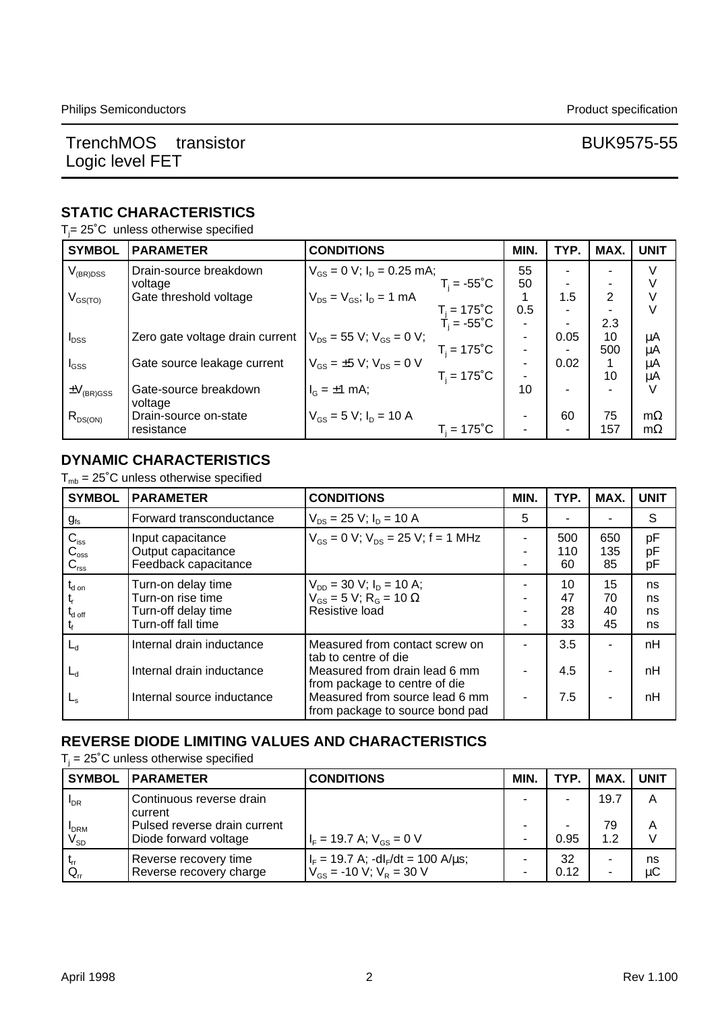### **STATIC CHARACTERISTICS**

 $T_j$ = 25°C unless otherwise specified

| <b>SYMBOL</b>                     | <b>PARAMETER</b>                | <b>CONDITIONS</b>                               | MIN.                     | TYP. | MAX. | <b>UNIT</b> |
|-----------------------------------|---------------------------------|-------------------------------------------------|--------------------------|------|------|-------------|
| $\rm V_{\rm (BR)DSS}$             | Drain-source breakdown          | $V_{GS} = 0$ V; $I_D = 0.25$ mA;                | 55                       |      |      |             |
|                                   | voltage                         | $T_i = -55^{\circ}C$                            | 50                       |      |      |             |
| $V_{GS(TO)}$                      | Gate threshold voltage          | $V_{DS} = V_{GS}$ ; $I_D = 1$ mA                |                          | 1.5  | 2    |             |
|                                   |                                 | $T_i = 175^{\circ}$ C<br>T <sub>i</sub> = -55°C | 0.5                      |      |      | V           |
|                                   |                                 |                                                 |                          |      | 2.3  |             |
| $I_{DSS}$                         | Zero gate voltage drain current | $V_{DS}$ = 55 V; $V_{GS}$ = 0 V;                | $\overline{\phantom{a}}$ | 0.05 | 10   | μA          |
|                                   |                                 | $T_i = 175^{\circ}C$                            |                          |      | 500  | μA          |
| $I_{GSS}$                         | Gate source leakage current     | $V_{\rm{GS}} = \pm 5$ V; $V_{\rm{DS}} = 0$ V    |                          | 0.02 |      | μA          |
|                                   |                                 | $T_i = 175^{\circ}C$                            |                          |      | 10   | μA          |
| $\pm \mathrm{V}_{\text{(BR)GSS}}$ | Gate-source breakdown           | $I_G = \pm 1$ mA;                               | 10                       |      |      | V           |
|                                   | voltage                         |                                                 |                          |      |      |             |
| $R_{DS(ON)}$                      | Drain-source on-state           | $V_{\text{GS}} = 5$ V; $I_{\text{D}} = 10$ A    |                          | 60   | 75   | $m\Omega$   |
|                                   | resistance                      | $T_i = 175^{\circ}$ C                           |                          |      | 157  | $m\Omega$   |

### **DYNAMIC CHARACTERISTICS**

 $T_{mb} = 25^{\circ}$ C unless otherwise specified

| <b>SYMBOL</b>                                           | <b>PARAMETER</b>                                                                     | <b>CONDITIONS</b>                                                                                                                   | MIN.                     | TYP.                 | MAX.                 | <b>UNIT</b>          |
|---------------------------------------------------------|--------------------------------------------------------------------------------------|-------------------------------------------------------------------------------------------------------------------------------------|--------------------------|----------------------|----------------------|----------------------|
| $g_{\text{fs}}$                                         | Forward transconductance                                                             | $V_{DS}$ = 25 V; $I_D$ = 10 A                                                                                                       | 5                        |                      |                      | S                    |
| $C_{\text{iss}}$<br>$C_{\rm{oss}}$<br>$C_{\text{rss}}$  | Input capacitance<br>Output capacitance<br>Feedback capacitance                      | $V_{GS} = 0$ V; $V_{DS} = 25$ V; f = 1 MHz                                                                                          | $\overline{\phantom{0}}$ | 500<br>110<br>60     | 650<br>135<br>85     | pF<br>pF<br>pF       |
| $t_{\sf d}$ on<br>$\mathsf{t}_{\mathsf{d} \text{ off}}$ | Turn-on delay time<br>Turn-on rise time<br>Turn-off delay time<br>Turn-off fall time | $V_{DD}$ = 30 V; $I_D$ = 10 A;<br>$V_{GS} = 5 V$ ; R <sub>G</sub> = 10 $\Omega$<br>Resistive load                                   |                          | 10<br>47<br>28<br>33 | 15<br>70<br>40<br>45 | ns<br>ns<br>ns<br>ns |
| ∟а                                                      | Internal drain inductance                                                            | Measured from contact screw on<br>tab to centre of die                                                                              |                          | 3.5                  |                      | nH                   |
| ┗₫<br>$L_{\rm S}$                                       | Internal drain inductance<br>Internal source inductance                              | Measured from drain lead 6 mm<br>from package to centre of die<br>Measured from source lead 6 mm<br>from package to source bond pad |                          | 4.5<br>7.5           | ۰<br>٠               | nH<br>nH             |

### **REVERSE DIODE LIMITING VALUES AND CHARACTERISTICS**

 $T_i$  = 25°C unless otherwise specified

| <b>SYMBOL</b>                              | <b>PARAMETER</b>                                      | <b>CONDITIONS</b>                                                              | MIN. | TYP.       | MAX. I    | <b>UNIT</b> |
|--------------------------------------------|-------------------------------------------------------|--------------------------------------------------------------------------------|------|------------|-----------|-------------|
| $I_{DR}$                                   | Continuous reverse drain<br>current                   |                                                                                |      |            | 19.7      | А           |
| <b>I</b> DRM<br>$\mathsf{V}_{\mathsf{SD}}$ | Pulsed reverse drain current<br>Diode forward voltage | $I_F = 19.7$ A; $V_{GS} = 0$ V                                                 |      | -<br>0.95  | 79<br>1.2 | А           |
| $Q_{n}$                                    | Reverse recovery time<br>Reverse recovery charge      | $I_F = 19.7$ A; $-dI_F/dt = 100$ A/ $\mu$ s;<br>$V_{GS}$ = -10 V; $V_R$ = 30 V |      | 32<br>0.12 | ۰         | ns<br>μC    |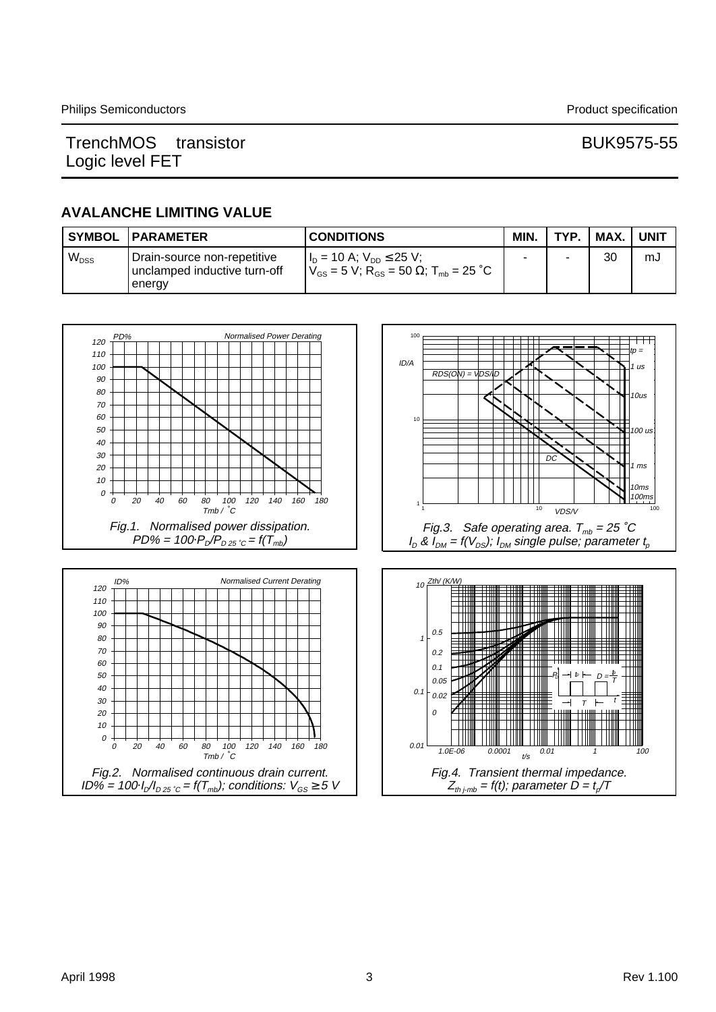### **AVALANCHE LIMITING VALUE**

| <b>SYMBOL</b> | <b>IPARAMETER</b>                                                     | <b>CONDITIONS</b>                                                                                                 | MIN. | TYP. | MAX. | UNIT |
|---------------|-----------------------------------------------------------------------|-------------------------------------------------------------------------------------------------------------------|------|------|------|------|
| $W_{DSS}$     | Drain-source non-repetitive<br>unclamped inductive turn-off<br>energy | $I_{D}$ = 10 A; $V_{DD} \le 25$ V;<br>$V_{\rm GS}$ = 5 V; R <sub>GS</sub> = 50 $\Omega$ ; T <sub>mb</sub> = 25 °C |      | -    | 30   | mJ   |







Fig.3. Safe operating area. T $_{\textit{mb}}$  = 25  $^{\circ}\mathcal{C}$ I $_D$  & I $_{DM}$  = f(V $_{DS}$ ); I $_{DM}$  single pulse; parameter  $t_{\rho}$ 

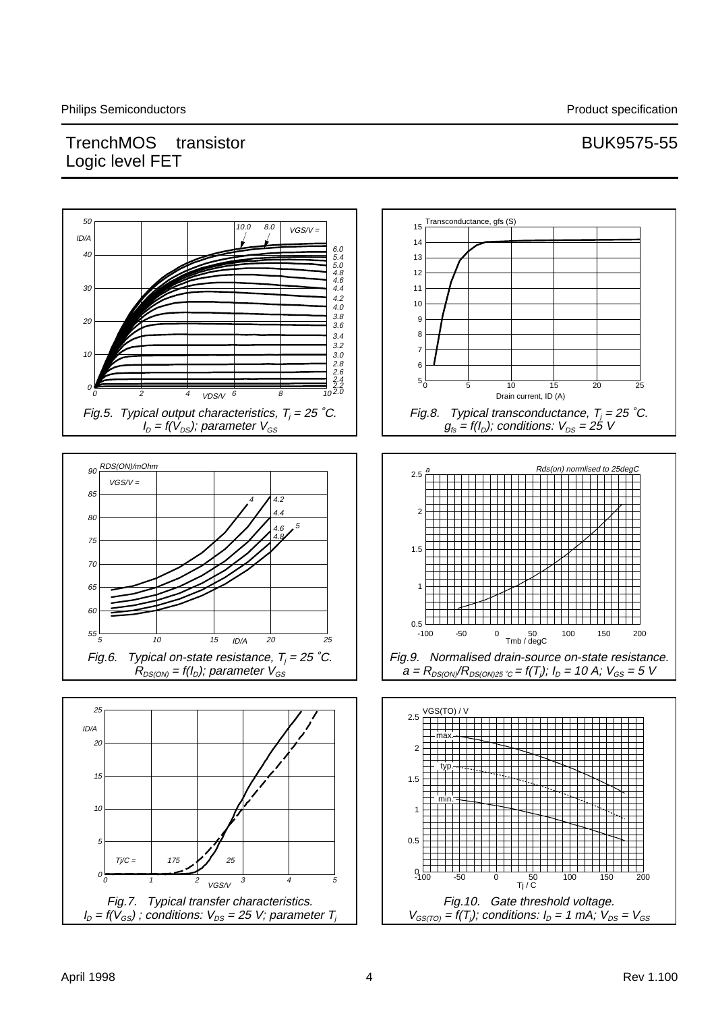# TrenchMOS<sup>TM</sup> transistor and the state of the BUK9575-55 Logic level FET

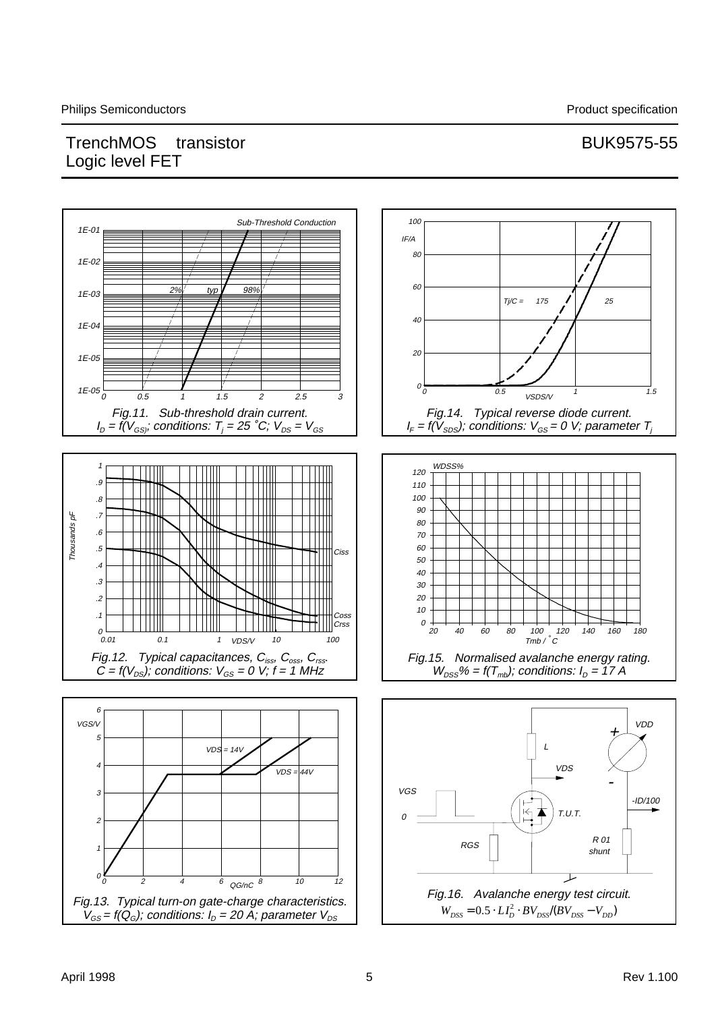![](_page_4_Figure_3.jpeg)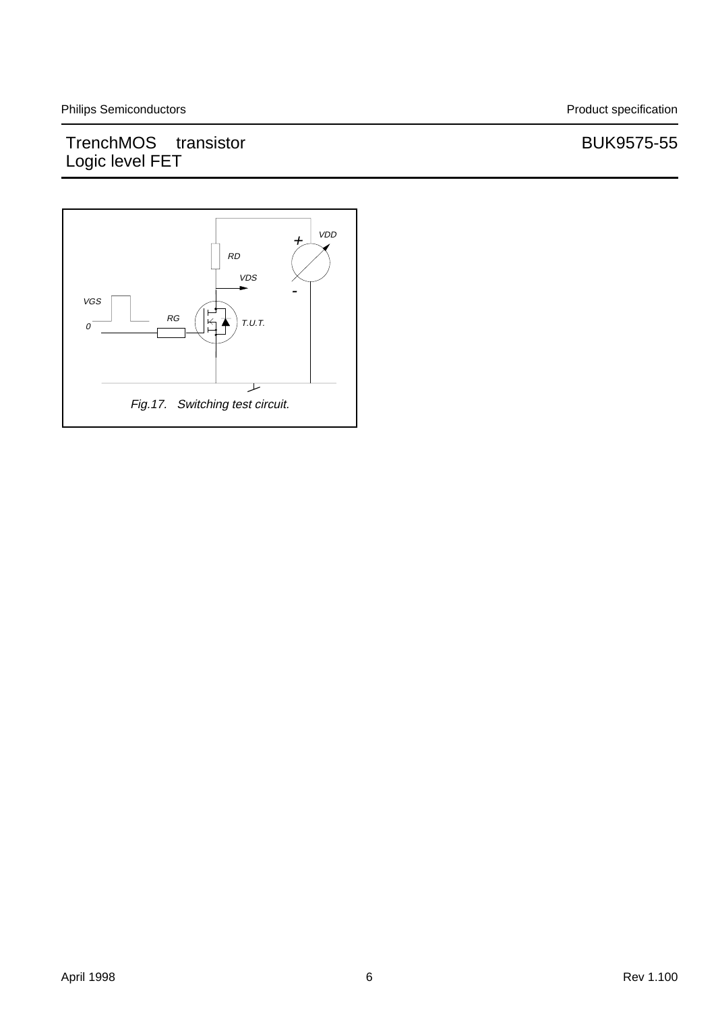# TrenchMOS<sup>TM</sup> transistor **BUK9575-55** Logic level FET

![](_page_5_Figure_3.jpeg)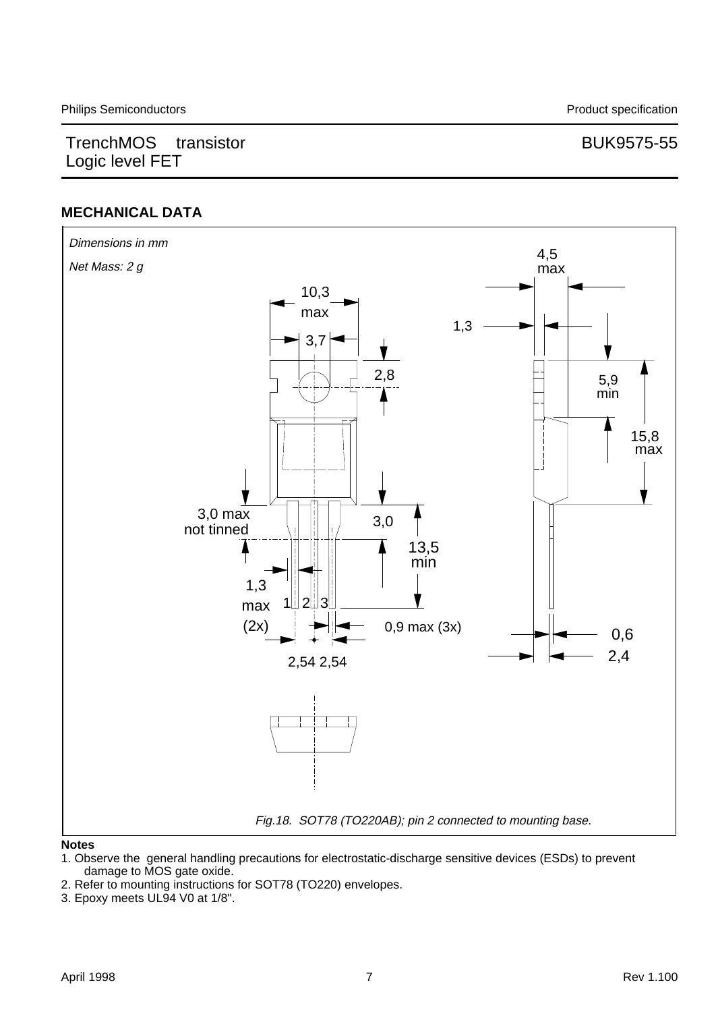## **MECHANICAL DATA**

![](_page_6_Figure_4.jpeg)

#### **Notes**

- 1. Observe the general handling precautions for electrostatic-discharge sensitive devices (ESDs) to prevent damage to MOS gate oxide.
- 2. Refer to mounting instructions for SOT78 (TO220) envelopes.
- 3. Epoxy meets UL94 V0 at 1/8".